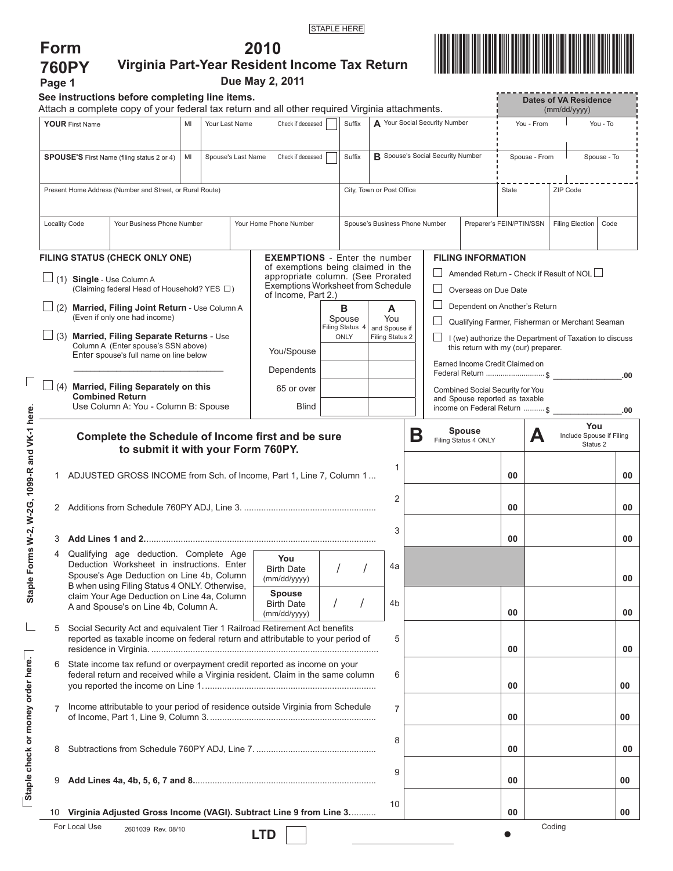|--|

**2010**



| <b>760PY</b><br>Page 1                                                                                                                           |                                                                                                                                                               |                                                                                                                                      |  |  |                                             | Virginia Part-Year Resident Income Tax Return<br>Due May 2, 2011                                                                     |                           |                                                                    |                                       |                                |                                              | <b>THE REAL PROPERTY OF STATE</b>                                                                                                |                                            |             |                        |      |  |
|--------------------------------------------------------------------------------------------------------------------------------------------------|---------------------------------------------------------------------------------------------------------------------------------------------------------------|--------------------------------------------------------------------------------------------------------------------------------------|--|--|---------------------------------------------|--------------------------------------------------------------------------------------------------------------------------------------|---------------------------|--------------------------------------------------------------------|---------------------------------------|--------------------------------|----------------------------------------------|----------------------------------------------------------------------------------------------------------------------------------|--------------------------------------------|-------------|------------------------|------|--|
| See instructions before completing line items.<br>Attach a complete copy of your federal tax return and all other required Virginia attachments. |                                                                                                                                                               |                                                                                                                                      |  |  |                                             |                                                                                                                                      |                           |                                                                    |                                       |                                | <b>Dates of VA Residence</b><br>(mm/dd/yyyy) |                                                                                                                                  |                                            |             |                        |      |  |
| <b>YOUR First Name</b><br>MI<br>Your Last Name                                                                                                   |                                                                                                                                                               |                                                                                                                                      |  |  | Check if deceased<br>Suffix                 |                                                                                                                                      |                           | A Your Social Security Number                                      |                                       |                                | You - From                                   |                                                                                                                                  |                                            | You - To    |                        |      |  |
| <b>SPOUSE'S</b> First Name (filing status 2 or 4)<br>MI<br>Spouse's Last Name                                                                    |                                                                                                                                                               |                                                                                                                                      |  |  | Check if deceased<br>Suffix                 |                                                                                                                                      |                           | <b>B</b> Spouse's Social Security Number                           |                                       |                                | Spouse - From                                |                                                                                                                                  |                                            | Spouse - To |                        |      |  |
| Present Home Address (Number and Street, or Rural Route)                                                                                         |                                                                                                                                                               |                                                                                                                                      |  |  |                                             |                                                                                                                                      | City, Town or Post Office |                                                                    |                                       |                                | State<br>ZIP Code                            |                                                                                                                                  |                                            |             |                        |      |  |
|                                                                                                                                                  | <b>Locality Code</b><br>Your Business Phone Number                                                                                                            |                                                                                                                                      |  |  |                                             | Your Home Phone Number                                                                                                               |                           |                                                                    |                                       | Spouse's Business Phone Number |                                              |                                                                                                                                  | Preparer's FEIN/PTIN/SSN                   |             | <b>Filing Election</b> | Code |  |
|                                                                                                                                                  |                                                                                                                                                               | FILING STATUS (CHECK ONLY ONE)                                                                                                       |  |  |                                             | <b>EXEMPTIONS</b> - Enter the number                                                                                                 |                           |                                                                    |                                       |                                |                                              | <b>FILING INFORMATION</b>                                                                                                        |                                            |             |                        |      |  |
|                                                                                                                                                  | $\Box$ (1) Single - Use Column A<br>(Claiming federal Head of Household? YES □)                                                                               |                                                                                                                                      |  |  |                                             | of exemptions being claimed in the<br>appropriate column. (See Prorated<br>Exemptions Worksheet from Schedule<br>of Income, Part 2.) |                           |                                                                    |                                       | Overseas on Due Date           |                                              |                                                                                                                                  | Amended Return - Check if Result of NOL    |             |                        |      |  |
|                                                                                                                                                  |                                                                                                                                                               | (2) Married, Filing Joint Return - Use Column A                                                                                      |  |  |                                             |                                                                                                                                      | в<br>A                    |                                                                    |                                       | Dependent on Another's Return  |                                              |                                                                                                                                  |                                            |             |                        |      |  |
|                                                                                                                                                  |                                                                                                                                                               | (Even if only one had income)                                                                                                        |  |  |                                             |                                                                                                                                      |                           | Spouse<br>Filing Status 4                                          | You<br>and Spouse if                  |                                |                                              | Qualifying Farmer, Fisherman or Merchant Seaman                                                                                  |                                            |             |                        |      |  |
|                                                                                                                                                  | $\Box$ (3) Married, Filing Separate Returns - Use<br>Column A (Enter spouse's SSN above)<br>Enter spouse's full name on line below                            |                                                                                                                                      |  |  |                                             | You/Spouse                                                                                                                           | ONLY<br>Filing Status 2   |                                                                    |                                       |                                |                                              | I (we) authorize the Department of Taxation to discuss<br>this return with my (our) preparer.<br>Earned Income Credit Claimed on |                                            |             |                        |      |  |
|                                                                                                                                                  |                                                                                                                                                               |                                                                                                                                      |  |  |                                             | Dependents                                                                                                                           |                           |                                                                    |                                       | Federal Return \$              |                                              |                                                                                                                                  |                                            |             |                        | .00  |  |
|                                                                                                                                                  |                                                                                                                                                               | Married, Filing Separately on this<br><b>Combined Return</b>                                                                         |  |  |                                             | 65 or over                                                                                                                           |                           | Combined Social Security for You<br>and Spouse reported as taxable |                                       |                                |                                              |                                                                                                                                  |                                            |             |                        |      |  |
|                                                                                                                                                  |                                                                                                                                                               | Use Column A: You - Column B: Spouse                                                                                                 |  |  |                                             | <b>Blind</b>                                                                                                                         |                           |                                                                    |                                       |                                |                                              |                                                                                                                                  | income on Federal Return  \$<br>.00<br>You |             |                        |      |  |
|                                                                                                                                                  | Complete the Schedule of Income first and be sure<br>to submit it with your Form 760PY.                                                                       |                                                                                                                                      |  |  |                                             |                                                                                                                                      | Β<br>$\mathbf{1}$         |                                                                    | <b>Spouse</b><br>Filing Status 4 ONLY |                                | А                                            | Include Spouse if Filing<br>Status <sub>2</sub>                                                                                  |                                            |             |                        |      |  |
|                                                                                                                                                  | ADJUSTED GROSS INCOME from Sch. of Income, Part 1, Line 7, Column 1                                                                                           |                                                                                                                                      |  |  |                                             |                                                                                                                                      |                           |                                                                    |                                       |                                | 00                                           |                                                                                                                                  |                                            | 00          |                        |      |  |
| 2                                                                                                                                                |                                                                                                                                                               |                                                                                                                                      |  |  |                                             |                                                                                                                                      |                           |                                                                    |                                       | $\overline{2}$                 |                                              |                                                                                                                                  | 00                                         |             |                        | 00   |  |
|                                                                                                                                                  | 3 Add Lines 1 and 2………………………………………………………………………………                                                                                                             |                                                                                                                                      |  |  |                                             |                                                                                                                                      |                           |                                                                    |                                       | 3                              |                                              |                                                                                                                                  | 00                                         |             |                        | 00   |  |
| 4                                                                                                                                                | Qualifying age deduction. Complete Age<br>Deduction Worksheet in instructions. Enter<br>Spouse's Age Deduction on Line 4b, Column                             |                                                                                                                                      |  |  | You<br><b>Birth Date</b><br>(mm/dd/yyyy)    |                                                                                                                                      |                           |                                                                    | 4a                                    |                                |                                              |                                                                                                                                  |                                            |             | 00                     |      |  |
|                                                                                                                                                  |                                                                                                                                                               | B when using Filing Status 4 ONLY. Otherwise,<br>claim Your Age Deduction on Line 4a, Column<br>A and Spouse's on Line 4b, Column A. |  |  | Spouse<br><b>Birth Date</b><br>(mm/dd/yyyy) |                                                                                                                                      |                           |                                                                    | 4b                                    |                                |                                              | 00                                                                                                                               |                                            |             | 00                     |      |  |
| 5                                                                                                                                                | Social Security Act and equivalent Tier 1 Railroad Retirement Act benefits<br>reported as taxable income on federal return and attributable to your period of |                                                                                                                                      |  |  |                                             |                                                                                                                                      |                           | 5                                                                  |                                       |                                | 00                                           |                                                                                                                                  |                                            | 00          |                        |      |  |
| 6                                                                                                                                                | State income tax refund or overpayment credit reported as income on your<br>federal return and received while a Virginia resident. Claim in the same column   |                                                                                                                                      |  |  |                                             |                                                                                                                                      |                           | 6                                                                  |                                       |                                | 00                                           |                                                                                                                                  |                                            | 00          |                        |      |  |
| $\overline{7}$                                                                                                                                   | Income attributable to your period of residence outside Virginia from Schedule                                                                                |                                                                                                                                      |  |  |                                             |                                                                                                                                      | $\overline{7}$            |                                                                    |                                       | 00                             |                                              |                                                                                                                                  | 00                                         |             |                        |      |  |
| 8                                                                                                                                                |                                                                                                                                                               |                                                                                                                                      |  |  |                                             |                                                                                                                                      | 8                         |                                                                    |                                       | 00                             |                                              |                                                                                                                                  | 00                                         |             |                        |      |  |
| 9                                                                                                                                                |                                                                                                                                                               |                                                                                                                                      |  |  |                                             |                                                                                                                                      |                           |                                                                    | 9                                     |                                |                                              | 00                                                                                                                               |                                            |             | 00                     |      |  |
| 10                                                                                                                                               | Virginia Adjusted Gross Income (VAGI). Subtract Line 9 from Line 3                                                                                            |                                                                                                                                      |  |  |                                             |                                                                                                                                      |                           | 10                                                                 |                                       |                                | 00                                           |                                                                                                                                  |                                            | 00          |                        |      |  |
|                                                                                                                                                  | For Local Use                                                                                                                                                 | 2601039 Rev. 08/10                                                                                                                   |  |  |                                             | <b>LTD</b>                                                                                                                           |                           |                                                                    |                                       |                                |                                              |                                                                                                                                  |                                            |             | Coding                 |      |  |

**Staple Forms W-2, W-2G, 1099-R and VK-1 here.**

Staple Forms W-2, W-2G, 1099-R and VK-1 here.

 $\Box$ 

**Staple check or money order here.**

Staple check or money order here.

 $\Box$